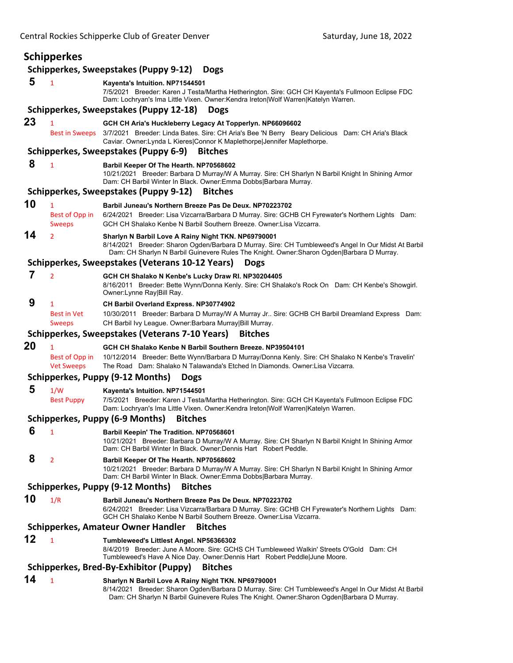## **Schipperkes Schipperkes, Sweepstakes (Puppy 9‐12) Dogs 5** <sup>1</sup> **Kayenta's Intuition. NP71544501** 7/5/2021 Breeder: Karen J Testa/Martha Hetherington. Sire: GCH CH Kayenta's Fullmoon Eclipse FDC Dam: Lochryan's Ima Little Vixen. Owner:Kendra Ireton|Wolf Warren|Katelyn Warren. **Schipperkes, Sweepstakes (Puppy 12‐18) Dogs 23** <sup>1</sup> **GCH CH Aria's Huckleberry Legacy At Topperlyn. NP66096602** Best in Sweeps 3/7/2021 Breeder: Linda Bates. Sire: CH Aria's Bee 'N Berry Beary Delicious Dam: CH Aria's Black Caviar. Owner:Lynda L Kieres|Connor K Maplethorpe|Jennifer Maplethorpe. **Schipperkes, Sweepstakes (Puppy 6‐9) Bitches 8** <sup>1</sup> **Barbil Keeper Of The Hearth. NP70568602** 10/21/2021 Breeder: Barbara D Murray/W A Murray. Sire: CH Sharlyn N Barbil Knight In Shining Armor Dam: CH Barbil Winter In Black. Owner:Emma Dobbs|Barbara Murray. **Schipperkes, Sweepstakes (Puppy 9‐12) Bitches 10** <sup>1</sup> **Barbil Juneau's Northern Breeze Pas De Deux. NP70223702** Best of Opp in 6/24/2021 Breeder: Lisa Vizcarra/Barbara D Murray. Sire: GCHB CH Fyrewater's Northern Lights Dam: Sweeps GCH CH Shalako Kenbe N Barbil Southern Breeze. Owner:Lisa Vizcarra. **14** <sup>2</sup> **Sharlyn N Barbil Love A Rainy Night TKN. NP69790001** 8/14/2021 Breeder: Sharon Ogden/Barbara D Murray. Sire: CH Tumbleweed's Angel In Our Midst At Barbil Dam: CH Sharlyn N Barbil Guinevere Rules The Knight. Owner:Sharon Ogden|Barbara D Murray. **Schipperkes, Sweepstakes (Veterans 10‐12 Years) Dogs 7** <sup>2</sup> **GCH CH Shalako N Kenbe's Lucky Draw RI. NP30204405** 8/16/2011 Breeder: Bette Wynn/Donna Kenly. Sire: CH Shalako's Rock On Dam: CH Kenbe's Showgirl. Owner:Lynne Ray|Bill Ray.  **9** <sup>1</sup> **CH Barbil Overland Express. NP30774902** Best in Vet 10/30/2011 Breeder: Barbara D Murray/W A Murray Jr.. Sire: GCHB CH Barbil Dreamland Express Dam: Sweeps CH Barbil Ivy League. Owner: Barbara Murray|Bill Murray. **Schipperkes, Sweepstakes (Veterans 7‐10 Years) Bitches 20** <sup>1</sup> **GCH CH Shalako Kenbe N Barbil Southern Breeze. NP39504101** Best of Opp in 10/12/2014 Breeder: Bette Wynn/Barbara D Murray/Donna Kenly. Sire: CH Shalako N Kenbe's Travelin' Vet Sweeps The Road Dam: Shalako N Talawanda's Etched In Diamonds. Owner:Lisa Vizcarra. **Schipperkes, Puppy (9‐12 Months) Dogs 5** 1/W **Kayenta's Intuition. NP71544501** Best Puppy 7/5/2021 Breeder: Karen J Testa/Martha Hetherington. Sire: GCH CH Kayenta's Fullmoon Eclipse FDC Dam: Lochryan's Ima Little Vixen. Owner:Kendra Ireton|Wolf Warren|Katelyn Warren. **Schipperkes, Puppy (6‐9 Months) Bitches 6** <sup>1</sup> **Barbil Keepin' The Tradition. NP70568601** 10/21/2021 Breeder: Barbara D Murray/W A Murray. Sire: CH Sharlyn N Barbil Knight In Shining Armor Dam: CH Barbil Winter In Black. Owner:Dennis Hart Robert Peddle.  **8** <sup>2</sup> **Barbil Keeper Of The Hearth. NP70568602** 10/21/2021 Breeder: Barbara D Murray/W A Murray. Sire: CH Sharlyn N Barbil Knight In Shining Armor Dam: CH Barbil Winter In Black. Owner:Emma Dobbs|Barbara Murray. **Schipperkes, Puppy (9‐12 Months) Bitches 10** 1/R **Barbil Juneau's Northern Breeze Pas De Deux. NP70223702** 6/24/2021 Breeder: Lisa Vizcarra/Barbara D Murray. Sire: GCHB CH Fyrewater's Northern Lights Dam: GCH CH Shalako Kenbe N Barbil Southern Breeze. Owner:Lisa Vizcarra. **Schipperkes, Amateur Owner Handler Bitches 12** <sup>1</sup> **Tumbleweed's Littlest Angel. NP56366302** 8/4/2019 Breeder: June A Moore. Sire: GCHS CH Tumbleweed Walkin' Streets O'Gold Dam: CH Tumbleweed's Have A Nice Day. Owner:Dennis Hart Robert Peddle|June Moore. **Schipperkes, Bred‐By‐Exhibitor (Puppy) Bitches 14** <sup>1</sup> **Sharlyn N Barbil Love A Rainy Night TKN. NP69790001**

8/14/2021 Breeder: Sharon Ogden/Barbara D Murray. Sire: CH Tumbleweed's Angel In Our Midst At Barbil Dam: CH Sharlyn N Barbil Guinevere Rules The Knight. Owner:Sharon Ogden|Barbara D Murray.